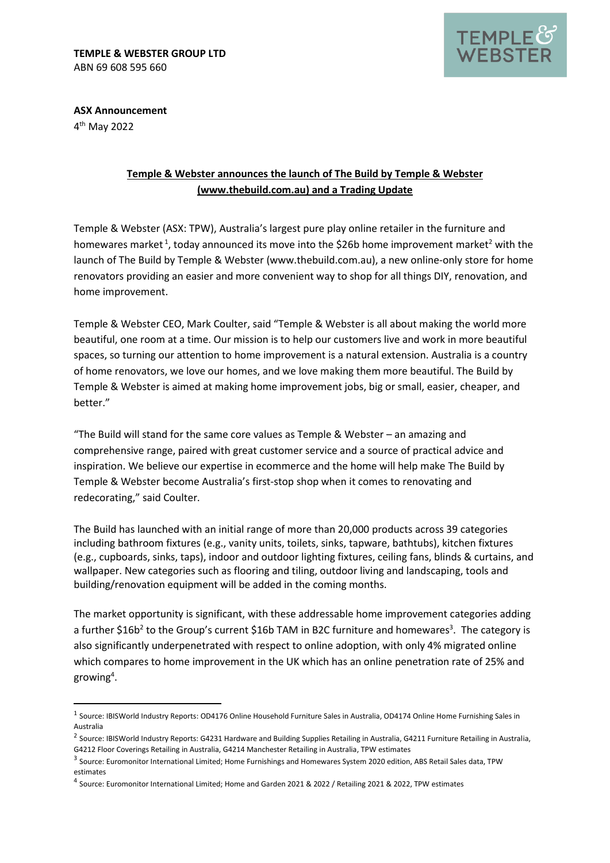

**ASX Announcement** 4 th May 2022

## **Temple & Webster announces the launch of The Build by Temple & Webster [\(www.thebuild.com.au\)](http://www.thebuild.com.au/) and a Trading Update**

Temple & Webster (ASX: TPW), Australia's largest pure play online retailer in the furniture and homewares market<sup>1</sup>, today announced its move into the \$26b home improvement market<sup>2</sup> with the launch of The Build by Temple & Webster (www.thebuild.com.au), a new online-only store for home renovators providing an easier and more convenient way to shop for all things DIY, renovation, and home improvement.

Temple & Webster CEO, Mark Coulter, said "Temple & Webster is all about making the world more beautiful, one room at a time. Our mission is to help our customers live and work in more beautiful spaces, so turning our attention to home improvement is a natural extension. Australia is a country of home renovators, we love our homes, and we love making them more beautiful. The Build by Temple & Webster is aimed at making home improvement jobs, big or small, easier, cheaper, and better."

"The Build will stand for the same core values as Temple & Webster – an amazing and comprehensive range, paired with great customer service and a source of practical advice and inspiration. We believe our expertise in ecommerce and the home will help make The Build by Temple & Webster become Australia's first-stop shop when it comes to renovating and redecorating," said Coulter.

The Build has launched with an initial range of more than 20,000 products across 39 categories including bathroom fixtures (e.g., vanity units, toilets, sinks, tapware, bathtubs), kitchen fixtures (e.g., cupboards, sinks, taps), indoor and outdoor lighting fixtures, ceiling fans, blinds & curtains, and wallpaper. New categories such as flooring and tiling, outdoor living and landscaping, tools and building/renovation equipment will be added in the coming months.

The market opportunity is significant, with these addressable home improvement categories adding a further \$16b<sup>2</sup> to the Group's current \$16b TAM in B2C furniture and homewares<sup>3</sup>. The category is also significantly underpenetrated with respect to online adoption, with only 4% migrated online which compares to home improvement in the UK which has an online penetration rate of 25% and growing<sup>4</sup>.

<sup>&</sup>lt;sup>1</sup> Source: IBISWorld Industry Reports: OD4176 Online Household Furniture Sales in Australia, OD4174 Online Home Furnishing Sales in Australia

<sup>&</sup>lt;sup>2</sup> Source: IBISWorld Industry Reports: G4231 Hardware and Building Supplies Retailing in Australia, G4211 Furniture Retailing in Australia, G4212 Floor Coverings Retailing in Australia, G4214 Manchester Retailing in Australia, TPW estimates

<sup>&</sup>lt;sup>3</sup> Source: Euromonitor International Limited; Home Furnishings and Homewares System 2020 edition, ABS Retail Sales data, TPW estimates

<sup>4</sup> Source: Euromonitor International Limited; Home and Garden 2021 & 2022 / Retailing 2021 & 2022, TPW estimates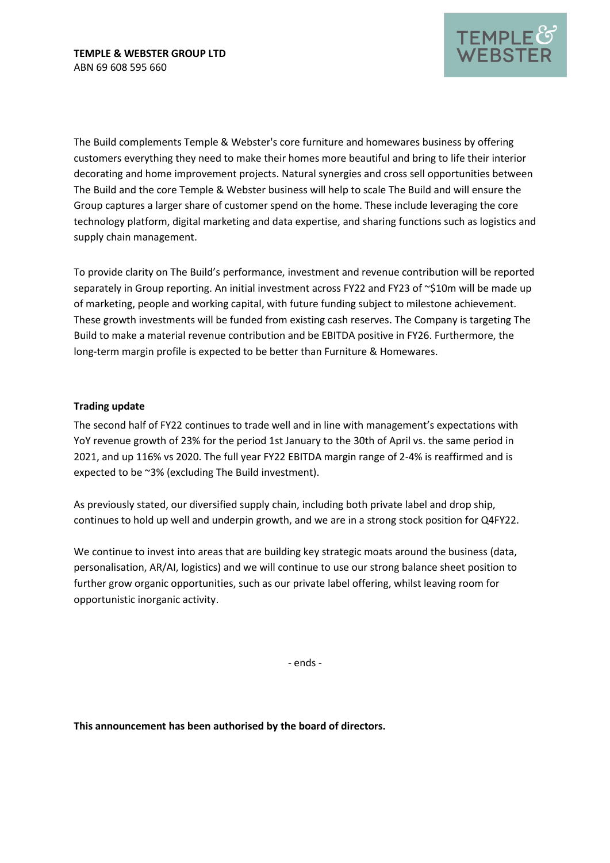

The Build complements Temple & Webster's core furniture and homewares business by offering customers everything they need to make their homes more beautiful and bring to life their interior decorating and home improvement projects. Natural synergies and cross sell opportunities between The Build and the core Temple & Webster business will help to scale The Build and will ensure the Group captures a larger share of customer spend on the home. These include leveraging the core technology platform, digital marketing and data expertise, and sharing functions such as logistics and supply chain management.

To provide clarity on The Build's performance, investment and revenue contribution will be reported separately in Group reporting. An initial investment across FY22 and FY23 of ~\$10m will be made up of marketing, people and working capital, with future funding subject to milestone achievement. These growth investments will be funded from existing cash reserves. The Company is targeting The Build to make a material revenue contribution and be EBITDA positive in FY26. Furthermore, the long-term margin profile is expected to be better than Furniture & Homewares.

## **Trading update**

The second half of FY22 continues to trade well and in line with management's expectations with YoY revenue growth of 23% for the period 1st January to the 30th of April vs. the same period in 2021, and up 116% vs 2020. The full year FY22 EBITDA margin range of 2-4% is reaffirmed and is expected to be ~3% (excluding The Build investment).

As previously stated, our diversified supply chain, including both private label and drop ship, continues to hold up well and underpin growth, and we are in a strong stock position for Q4FY22.

We continue to invest into areas that are building key strategic moats around the business (data, personalisation, AR/AI, logistics) and we will continue to use our strong balance sheet position to further grow organic opportunities, such as our private label offering, whilst leaving room for opportunistic inorganic activity.

‐ ends ‐

**This announcement has been authorised by the board of directors.**